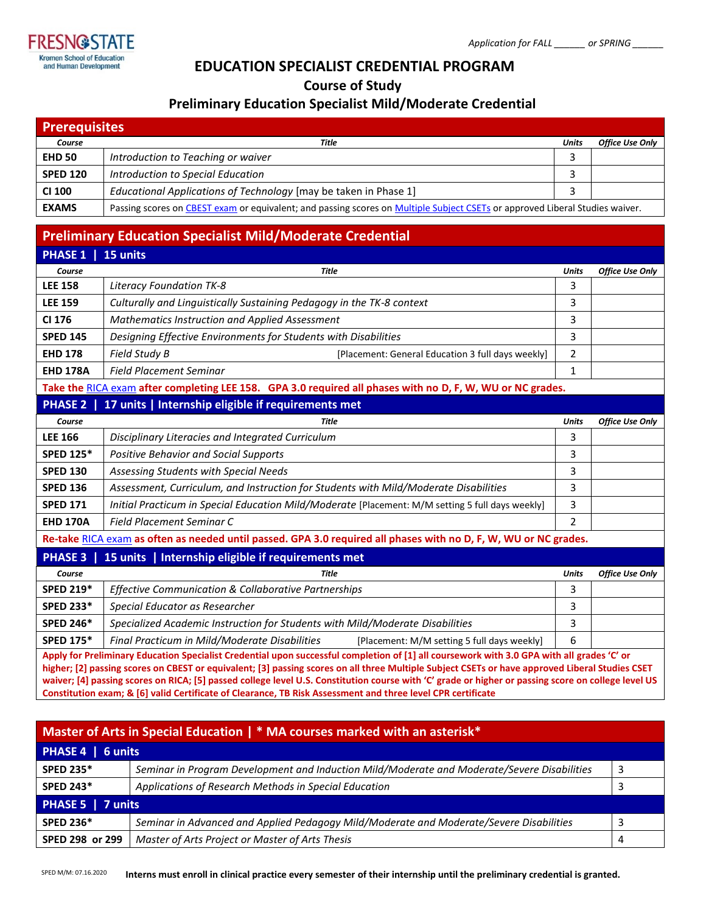

# **EDUCATION SPECIALIST CREDENTIAL PROGRAM**

**Course of Study**

## **Preliminary Education Specialist Mild/Moderate Credential**

| <b>Prerequisites</b> |                                                                                                                              |              |                        |  |  |
|----------------------|------------------------------------------------------------------------------------------------------------------------------|--------------|------------------------|--|--|
| Course               | <b>Title</b>                                                                                                                 | <b>Units</b> | <b>Office Use Only</b> |  |  |
| <b>EHD 50</b>        | Introduction to Teaching or waiver                                                                                           |              |                        |  |  |
| <b>SPED 120</b>      | Introduction to Special Education                                                                                            |              |                        |  |  |
| <b>CI 100</b>        | Educational Applications of Technology [may be taken in Phase 1]                                                             |              |                        |  |  |
| <b>EXAMS</b>         | Passing scores on CBEST exam or equivalent; and passing scores on Multiple Subject CSETs or approved Liberal Studies waiver. |              |                        |  |  |

# **Preliminary Education Specialist Mild/Moderate Credential**

| <b>PHASE 1</b>                                                                                                                             | 15 units                                                                                         |                |                        |  |  |
|--------------------------------------------------------------------------------------------------------------------------------------------|--------------------------------------------------------------------------------------------------|----------------|------------------------|--|--|
| Course                                                                                                                                     | <b>Title</b>                                                                                     | <b>Units</b>   | <b>Office Use Only</b> |  |  |
| <b>LEE 158</b>                                                                                                                             | Literacy Foundation TK-8                                                                         | 3              |                        |  |  |
| <b>LEE 159</b>                                                                                                                             | Culturally and Linguistically Sustaining Pedagogy in the TK-8 context                            | 3              |                        |  |  |
| CI 176                                                                                                                                     | Mathematics Instruction and Applied Assessment                                                   | 3              |                        |  |  |
| <b>SPED 145</b>                                                                                                                            | Designing Effective Environments for Students with Disabilities                                  | 3              |                        |  |  |
| <b>EHD 178</b>                                                                                                                             | Field Study B<br>[Placement: General Education 3 full days weekly]                               | 2              |                        |  |  |
| <b>EHD 178A</b>                                                                                                                            | <b>Field Placement Seminar</b>                                                                   | $\mathbf{1}$   |                        |  |  |
| Take the RICA exam after completing LEE 158. GPA 3.0 required all phases with no D, F, W, WU or NC grades.                                 |                                                                                                  |                |                        |  |  |
|                                                                                                                                            | PHASE 2   17 units   Internship eligible if requirements met                                     |                |                        |  |  |
| Course                                                                                                                                     | Title                                                                                            | <b>Units</b>   | <b>Office Use Only</b> |  |  |
| <b>LEE 166</b>                                                                                                                             | Disciplinary Literacies and Integrated Curriculum                                                | 3              |                        |  |  |
| <b>SPED 125*</b>                                                                                                                           | <b>Positive Behavior and Social Supports</b>                                                     | 3              |                        |  |  |
| <b>SPED 130</b>                                                                                                                            | Assessing Students with Special Needs                                                            | 3              |                        |  |  |
| <b>SPED 136</b>                                                                                                                            | Assessment, Curriculum, and Instruction for Students with Mild/Moderate Disabilities             | 3              |                        |  |  |
| <b>SPED 171</b>                                                                                                                            | Initial Practicum in Special Education Mild/Moderate [Placement: M/M setting 5 full days weekly] | 3              |                        |  |  |
| <b>EHD 170A</b>                                                                                                                            | Field Placement Seminar C                                                                        | $\overline{2}$ |                        |  |  |
| Re-take RICA exam as often as needed until passed. GPA 3.0 required all phases with no D, F, W, WU or NC grades.                           |                                                                                                  |                |                        |  |  |
|                                                                                                                                            | PHASE 3   15 units   Internship eligible if requirements met                                     |                |                        |  |  |
| Course                                                                                                                                     | <b>Title</b>                                                                                     | <b>Units</b>   | <b>Office Use Only</b> |  |  |
| <b>SPED 219*</b>                                                                                                                           | Effective Communication & Collaborative Partnerships                                             | 3              |                        |  |  |
| <b>SPED 233*</b>                                                                                                                           | Special Educator as Researcher                                                                   | 3              |                        |  |  |
| <b>SPED 246*</b>                                                                                                                           | Specialized Academic Instruction for Students with Mild/Moderate Disabilities                    | 3              |                        |  |  |
| <b>SPED 175*</b>                                                                                                                           | Final Practicum in Mild/Moderate Disabilities<br>[Placement: M/M setting 5 full days weekly]     | 6              |                        |  |  |
| Apply for Preliminary Education Specialist Credential upon successful completion of [1] all coursework with 3.0 GPA with all grades 'C' or |                                                                                                  |                |                        |  |  |

**higher; [2] passing scores on CBEST or equivalent; [3] passing scores on all three Multiple Subject CSETs or have approved Liberal Studies CSET waiver; [4] passing scores on RICA; [5] passed college level U.S. Constitution course with 'C' grade or higher or passing score on college level US Constitution exam; & [6] valid Certificate of Clearance, TB Risk Assessment and three level CPR certificate**

| Master of Arts in Special Education   * MA courses marked with an asterisk* |                                                                                             |  |  |  |  |
|-----------------------------------------------------------------------------|---------------------------------------------------------------------------------------------|--|--|--|--|
| PHASE 4   6 units                                                           |                                                                                             |  |  |  |  |
| <b>SPED 235*</b>                                                            | Seminar in Program Development and Induction Mild/Moderate and Moderate/Severe Disabilities |  |  |  |  |
| <b>SPED 243*</b>                                                            | Applications of Research Methods in Special Education                                       |  |  |  |  |
| PHASE 5   7 units                                                           |                                                                                             |  |  |  |  |
| <b>SPED 236*</b>                                                            | Seminar in Advanced and Applied Pedagogy Mild/Moderate and Moderate/Severe Disabilities     |  |  |  |  |
| SPED 298 or 299                                                             | Master of Arts Project or Master of Arts Thesis                                             |  |  |  |  |